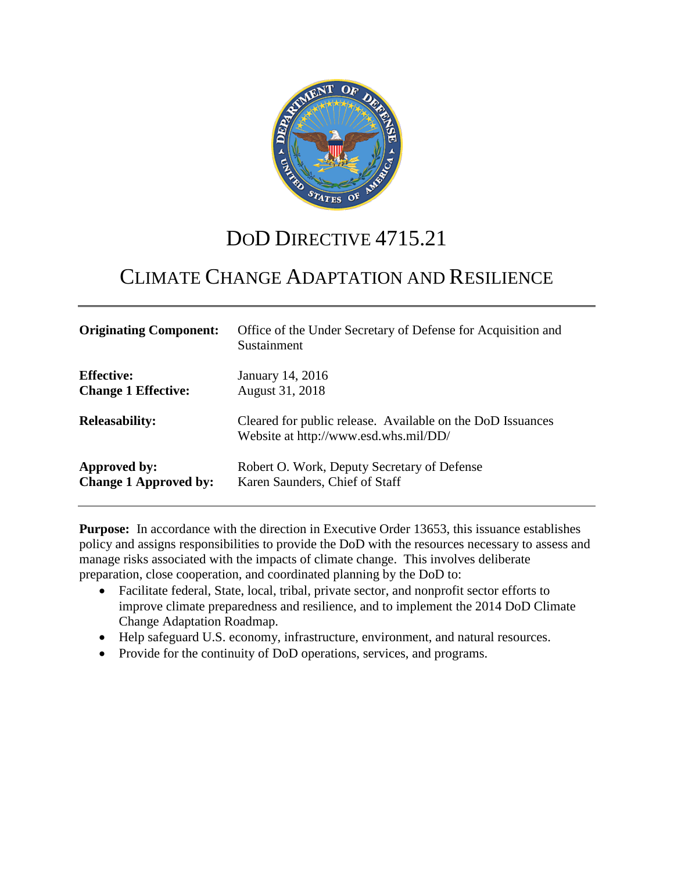

# DOD DIRECTIVE 4715.21

# CLIMATE CHANGE ADAPTATION AND RESILIENCE

| <b>Originating Component:</b> | Office of the Under Secretary of Defense for Acquisition and<br>Sustainment                         |
|-------------------------------|-----------------------------------------------------------------------------------------------------|
| <b>Effective:</b>             | January 14, 2016                                                                                    |
| <b>Change 1 Effective:</b>    | August 31, 2018                                                                                     |
| <b>Releasability:</b>         | Cleared for public release. Available on the DoD Issuances<br>Website at http://www.esd.whs.mil/DD/ |
| Approved by:                  | Robert O. Work, Deputy Secretary of Defense                                                         |
| <b>Change 1 Approved by:</b>  | Karen Saunders, Chief of Staff                                                                      |

**Purpose:** In accordance with the direction in Executive Order 13653, this issuance establishes policy and assigns responsibilities to provide the DoD with the resources necessary to assess and manage risks associated with the impacts of climate change. This involves deliberate preparation, close cooperation, and coordinated planning by the DoD to:

- Facilitate federal, State, local, tribal, private sector, and nonprofit sector efforts to improve climate preparedness and resilience, and to implement the 2014 DoD Climate Change Adaptation Roadmap.
- Help safeguard U.S. economy, infrastructure, environment, and natural resources.
- Provide for the continuity of DoD operations, services, and programs.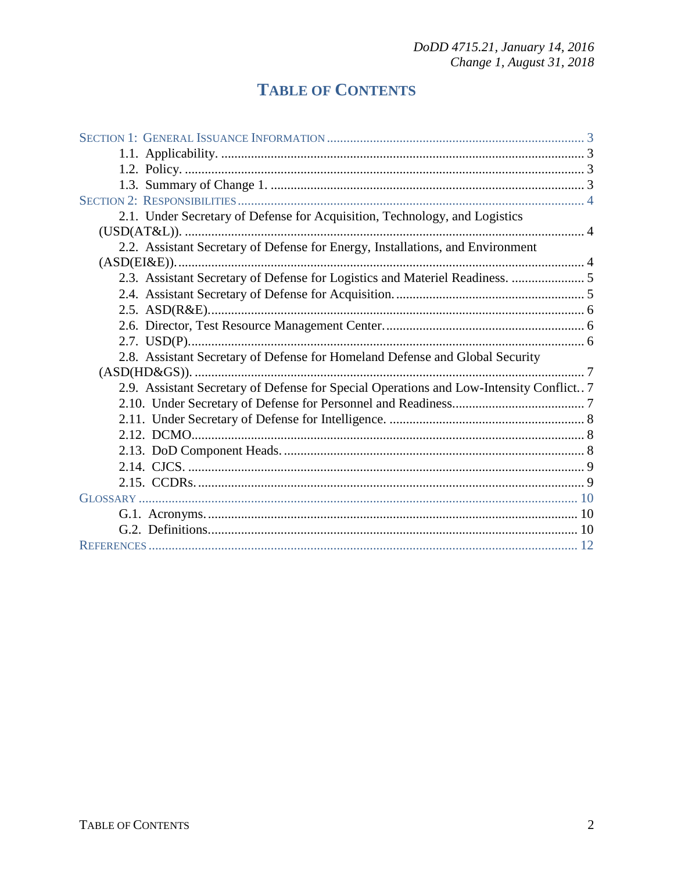## **TABLE OF CONTENTS**

| 2.1. Under Secretary of Defense for Acquisition, Technology, and Logistics              |  |
|-----------------------------------------------------------------------------------------|--|
|                                                                                         |  |
| 2.2. Assistant Secretary of Defense for Energy, Installations, and Environment          |  |
|                                                                                         |  |
| 2.3. Assistant Secretary of Defense for Logistics and Materiel Readiness.  5            |  |
|                                                                                         |  |
|                                                                                         |  |
|                                                                                         |  |
|                                                                                         |  |
| 2.8. Assistant Secretary of Defense for Homeland Defense and Global Security            |  |
|                                                                                         |  |
| 2.9. Assistant Secretary of Defense for Special Operations and Low-Intensity Conflict 7 |  |
|                                                                                         |  |
|                                                                                         |  |
|                                                                                         |  |
|                                                                                         |  |
|                                                                                         |  |
|                                                                                         |  |
|                                                                                         |  |
|                                                                                         |  |
|                                                                                         |  |
|                                                                                         |  |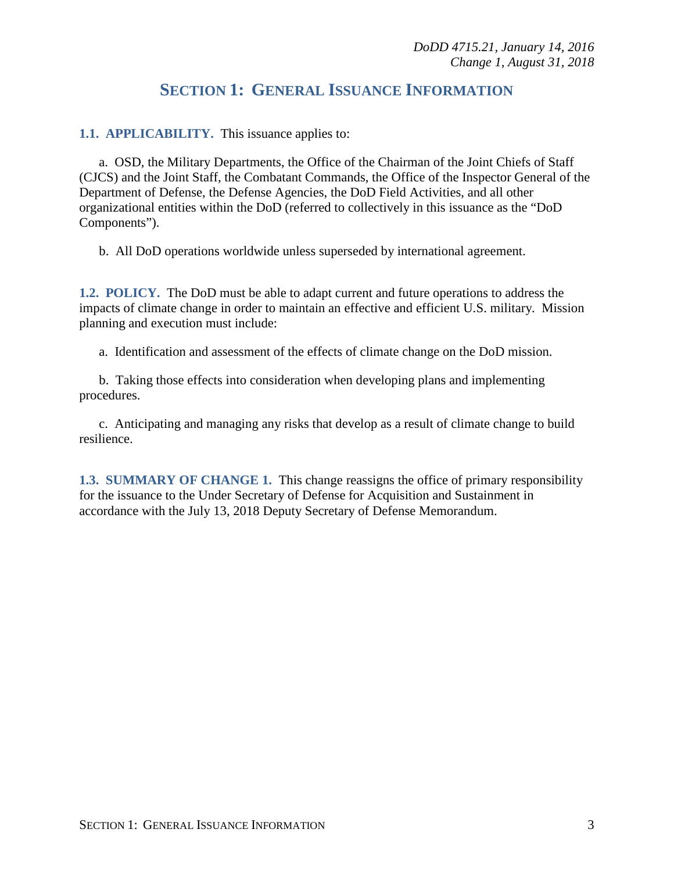## **SECTION 1: GENERAL ISSUANCE INFORMATION**

**1.1. APPLICABILITY.** This issuance applies to:

a. OSD, the Military Departments, the Office of the Chairman of the Joint Chiefs of Staff (CJCS) and the Joint Staff, the Combatant Commands, the Office of the Inspector General of the Department of Defense, the Defense Agencies, the DoD Field Activities, and all other organizational entities within the DoD (referred to collectively in this issuance as the "DoD Components").

b. All DoD operations worldwide unless superseded by international agreement.

**1.2. POLICY.** The DoD must be able to adapt current and future operations to address the impacts of climate change in order to maintain an effective and efficient U.S. military. Mission planning and execution must include:

a. Identification and assessment of the effects of climate change on the DoD mission.

b. Taking those effects into consideration when developing plans and implementing procedures.

c. Anticipating and managing any risks that develop as a result of climate change to build resilience.

**1.3. SUMMARY OF CHANGE 1.** This change reassigns the office of primary responsibility for the issuance to the Under Secretary of Defense for Acquisition and Sustainment in accordance with the July 13, 2018 Deputy Secretary of Defense Memorandum.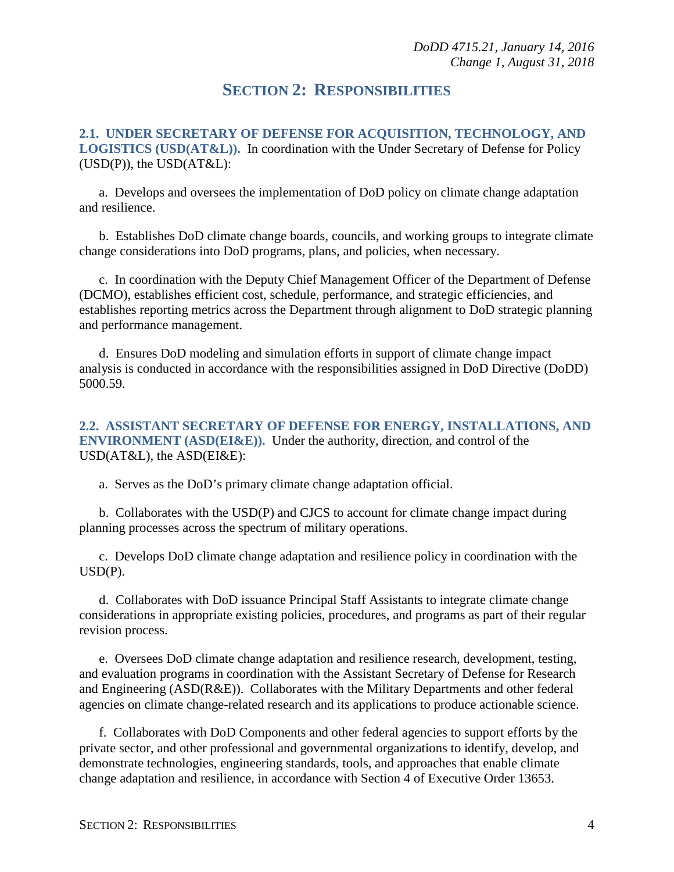### **SECTION 2: RESPONSIBILITIES**

**2.1. UNDER SECRETARY OF DEFENSE FOR ACQUISITION, TECHNOLOGY, AND LOGISTICS (USD(AT&L)).** In coordination with the Under Secretary of Defense for Policy  $(USD(P))$ , the  $USD(AT&L)$ :

a. Develops and oversees the implementation of DoD policy on climate change adaptation and resilience.

b. Establishes DoD climate change boards, councils, and working groups to integrate climate change considerations into DoD programs, plans, and policies, when necessary.

c. In coordination with the Deputy Chief Management Officer of the Department of Defense (DCMO), establishes efficient cost, schedule, performance, and strategic efficiencies, and establishes reporting metrics across the Department through alignment to DoD strategic planning and performance management.

d. Ensures DoD modeling and simulation efforts in support of climate change impact analysis is conducted in accordance with the responsibilities assigned in DoD Directive (DoDD) 5000.59.

**2.2. ASSISTANT SECRETARY OF DEFENSE FOR ENERGY, INSTALLATIONS, AND ENVIRONMENT (ASD(EI&E)).** Under the authority, direction, and control of the USD(AT&L), the ASD(EI&E):

a. Serves as the DoD's primary climate change adaptation official.

b. Collaborates with the USD(P) and CJCS to account for climate change impact during planning processes across the spectrum of military operations.

c. Develops DoD climate change adaptation and resilience policy in coordination with the USD(P).

d. Collaborates with DoD issuance Principal Staff Assistants to integrate climate change considerations in appropriate existing policies, procedures, and programs as part of their regular revision process.

e. Oversees DoD climate change adaptation and resilience research, development, testing, and evaluation programs in coordination with the Assistant Secretary of Defense for Research and Engineering (ASD(R&E)). Collaborates with the Military Departments and other federal agencies on climate change-related research and its applications to produce actionable science.

f. Collaborates with DoD Components and other federal agencies to support efforts by the private sector, and other professional and governmental organizations to identify, develop, and demonstrate technologies, engineering standards, tools, and approaches that enable climate change adaptation and resilience, in accordance with Section 4 of Executive Order 13653.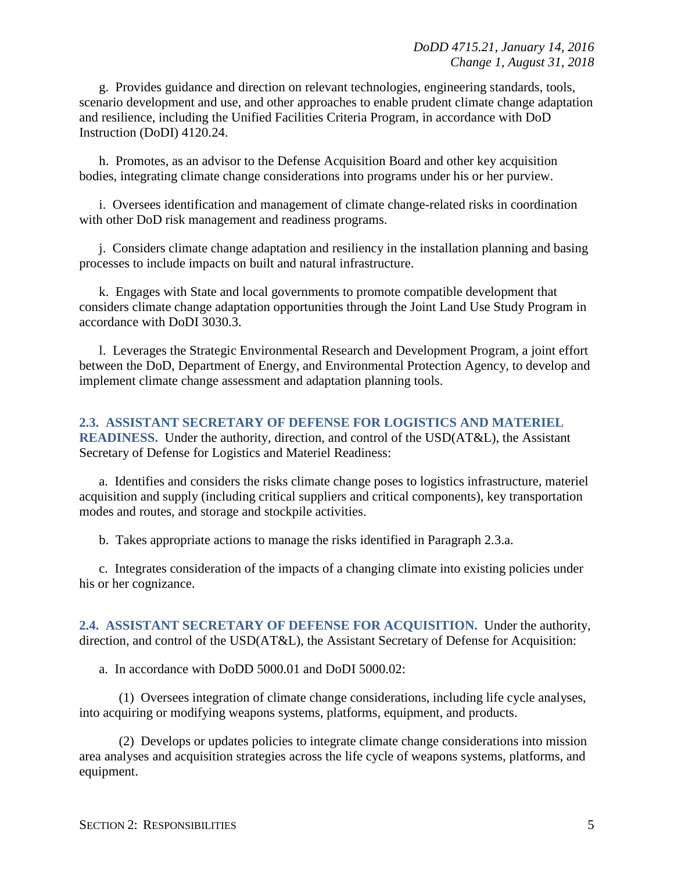g. Provides guidance and direction on relevant technologies, engineering standards, tools, scenario development and use, and other approaches to enable prudent climate change adaptation and resilience, including the Unified Facilities Criteria Program, in accordance with DoD Instruction (DoDI) 4120.24.

h. Promotes, as an advisor to the Defense Acquisition Board and other key acquisition bodies, integrating climate change considerations into programs under his or her purview.

i. Oversees identification and management of climate change-related risks in coordination with other DoD risk management and readiness programs.

j. Considers climate change adaptation and resiliency in the installation planning and basing processes to include impacts on built and natural infrastructure.

k. Engages with State and local governments to promote compatible development that considers climate change adaptation opportunities through the Joint Land Use Study Program in accordance with DoDI 3030.3.

l. Leverages the Strategic Environmental Research and Development Program, a joint effort between the DoD, Department of Energy, and Environmental Protection Agency, to develop and implement climate change assessment and adaptation planning tools.

**2.3. ASSISTANT SECRETARY OF DEFENSE FOR LOGISTICS AND MATERIEL READINESS.** Under the authority, direction, and control of the USD(AT&L), the Assistant Secretary of Defense for Logistics and Materiel Readiness:

a. Identifies and considers the risks climate change poses to logistics infrastructure, materiel acquisition and supply (including critical suppliers and critical components), key transportation modes and routes, and storage and stockpile activities.

b. Takes appropriate actions to manage the risks identified in Paragraph 2.3.a.

c. Integrates consideration of the impacts of a changing climate into existing policies under his or her cognizance.

**2.4. ASSISTANT SECRETARY OF DEFENSE FOR ACQUISITION.** Under the authority, direction, and control of the USD(AT&L), the Assistant Secretary of Defense for Acquisition:

a. In accordance with DoDD 5000.01 and DoDI 5000.02:

(1) Oversees integration of climate change considerations, including life cycle analyses, into acquiring or modifying weapons systems, platforms, equipment, and products.

(2) Develops or updates policies to integrate climate change considerations into mission area analyses and acquisition strategies across the life cycle of weapons systems, platforms, and equipment.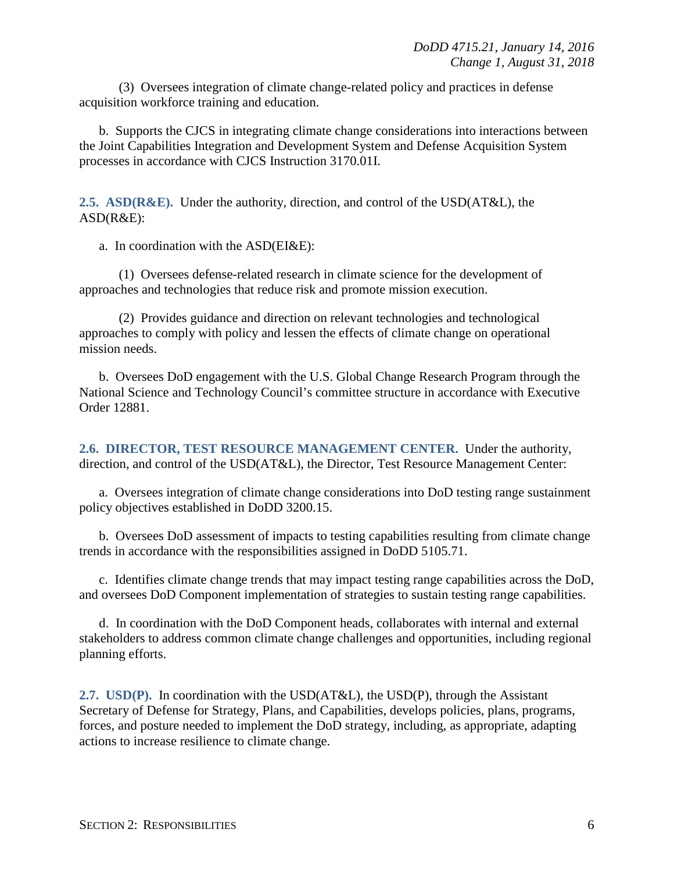(3) Oversees integration of climate change-related policy and practices in defense acquisition workforce training and education.

b. Supports the CJCS in integrating climate change considerations into interactions between the Joint Capabilities Integration and Development System and Defense Acquisition System processes in accordance with CJCS Instruction 3170.01I.

**2.5. ASD(R&E).** Under the authority, direction, and control of the USD(AT&L), the ASD(R&E):

a. In coordination with the ASD(EI&E):

(1) Oversees defense-related research in climate science for the development of approaches and technologies that reduce risk and promote mission execution.

(2) Provides guidance and direction on relevant technologies and technological approaches to comply with policy and lessen the effects of climate change on operational mission needs.

b. Oversees DoD engagement with the U.S. Global Change Research Program through the National Science and Technology Council's committee structure in accordance with Executive Order 12881.

**2.6. DIRECTOR, TEST RESOURCE MANAGEMENT CENTER.** Under the authority, direction, and control of the USD(AT&L), the Director, Test Resource Management Center:

a. Oversees integration of climate change considerations into DoD testing range sustainment policy objectives established in DoDD 3200.15.

b. Oversees DoD assessment of impacts to testing capabilities resulting from climate change trends in accordance with the responsibilities assigned in DoDD 5105.71.

c. Identifies climate change trends that may impact testing range capabilities across the DoD, and oversees DoD Component implementation of strategies to sustain testing range capabilities.

d. In coordination with the DoD Component heads, collaborates with internal and external stakeholders to address common climate change challenges and opportunities, including regional planning efforts.

**2.7. USD(P).** In coordination with the USD(AT&L), the USD(P), through the Assistant Secretary of Defense for Strategy, Plans, and Capabilities, develops policies, plans, programs, forces, and posture needed to implement the DoD strategy, including, as appropriate, adapting actions to increase resilience to climate change.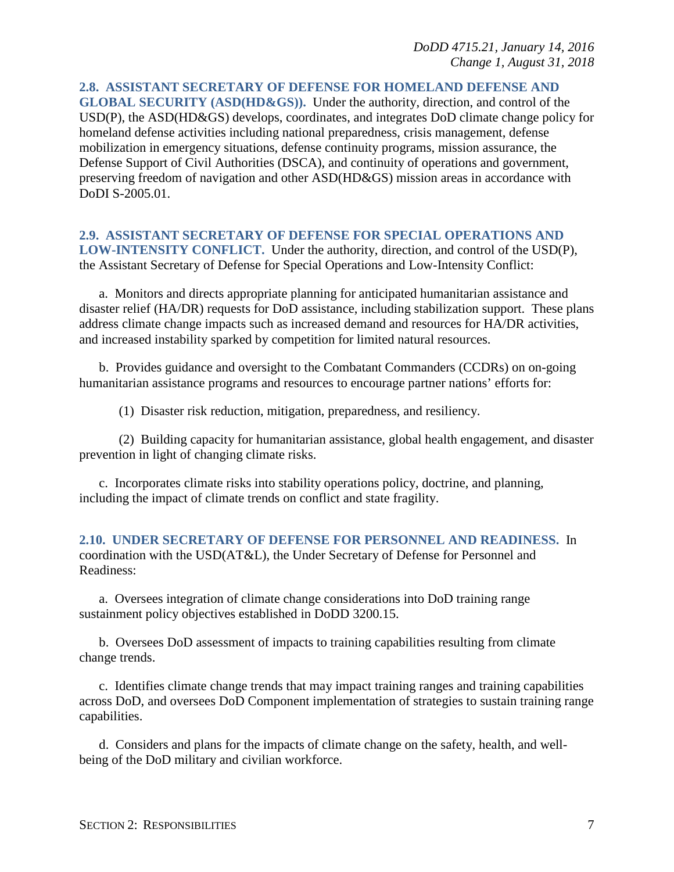**2.8. ASSISTANT SECRETARY OF DEFENSE FOR HOMELAND DEFENSE AND GLOBAL SECURITY (ASD(HD&GS)).** Under the authority, direction, and control of the USD(P), the ASD(HD&GS) develops, coordinates, and integrates DoD climate change policy for homeland defense activities including national preparedness, crisis management, defense mobilization in emergency situations, defense continuity programs, mission assurance, the Defense Support of Civil Authorities (DSCA), and continuity of operations and government, preserving freedom of navigation and other ASD(HD&GS) mission areas in accordance with DoDI S-2005.01.

#### **2.9. ASSISTANT SECRETARY OF DEFENSE FOR SPECIAL OPERATIONS AND LOW-INTENSITY CONFLICT.** Under the authority, direction, and control of the USD(P),

the Assistant Secretary of Defense for Special Operations and Low-Intensity Conflict:

a. Monitors and directs appropriate planning for anticipated humanitarian assistance and disaster relief (HA/DR) requests for DoD assistance, including stabilization support. These plans address climate change impacts such as increased demand and resources for HA/DR activities, and increased instability sparked by competition for limited natural resources.

b. Provides guidance and oversight to the Combatant Commanders (CCDRs) on on-going humanitarian assistance programs and resources to encourage partner nations' efforts for:

(1) Disaster risk reduction, mitigation, preparedness, and resiliency.

(2) Building capacity for humanitarian assistance, global health engagement, and disaster prevention in light of changing climate risks.

c. Incorporates climate risks into stability operations policy, doctrine, and planning, including the impact of climate trends on conflict and state fragility.

**2.10. UNDER SECRETARY OF DEFENSE FOR PERSONNEL AND READINESS.** In coordination with the USD(AT&L), the Under Secretary of Defense for Personnel and Readiness:

a. Oversees integration of climate change considerations into DoD training range sustainment policy objectives established in DoDD 3200.15.

b. Oversees DoD assessment of impacts to training capabilities resulting from climate change trends.

c. Identifies climate change trends that may impact training ranges and training capabilities across DoD, and oversees DoD Component implementation of strategies to sustain training range capabilities.

d. Considers and plans for the impacts of climate change on the safety, health, and wellbeing of the DoD military and civilian workforce.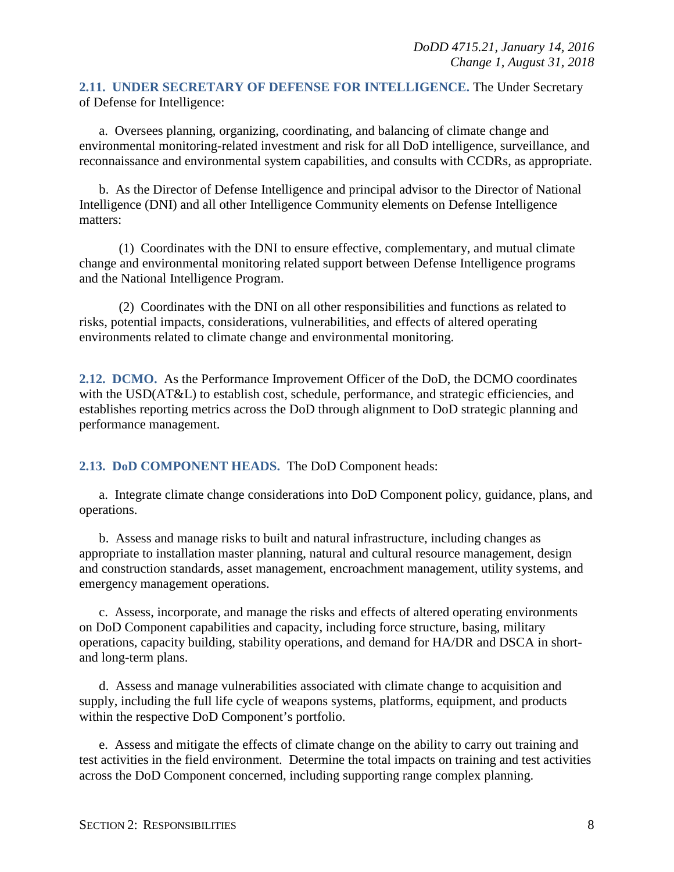#### **2.11. UNDER SECRETARY OF DEFENSE FOR INTELLIGENCE.** The Under Secretary of Defense for Intelligence:

a. Oversees planning, organizing, coordinating, and balancing of climate change and environmental monitoring-related investment and risk for all DoD intelligence, surveillance, and reconnaissance and environmental system capabilities, and consults with CCDRs, as appropriate.

b. As the Director of Defense Intelligence and principal advisor to the Director of National Intelligence (DNI) and all other Intelligence Community elements on Defense Intelligence matters:

(1) Coordinates with the DNI to ensure effective, complementary, and mutual climate change and environmental monitoring related support between Defense Intelligence programs and the National Intelligence Program.

(2) Coordinates with the DNI on all other responsibilities and functions as related to risks, potential impacts, considerations, vulnerabilities, and effects of altered operating environments related to climate change and environmental monitoring.

**2.12. DCMO.** As the Performance Improvement Officer of the DoD, the DCMO coordinates with the USD(AT&L) to establish cost, schedule, performance, and strategic efficiencies, and establishes reporting metrics across the DoD through alignment to DoD strategic planning and performance management.

#### **2.13. DoD COMPONENT HEADS.** The DoD Component heads:

a. Integrate climate change considerations into DoD Component policy, guidance, plans, and operations.

b. Assess and manage risks to built and natural infrastructure, including changes as appropriate to installation master planning, natural and cultural resource management, design and construction standards, asset management, encroachment management, utility systems, and emergency management operations.

c. Assess, incorporate, and manage the risks and effects of altered operating environments on DoD Component capabilities and capacity, including force structure, basing, military operations, capacity building, stability operations, and demand for HA/DR and DSCA in shortand long-term plans.

d. Assess and manage vulnerabilities associated with climate change to acquisition and supply, including the full life cycle of weapons systems, platforms, equipment, and products within the respective DoD Component's portfolio.

e. Assess and mitigate the effects of climate change on the ability to carry out training and test activities in the field environment. Determine the total impacts on training and test activities across the DoD Component concerned, including supporting range complex planning.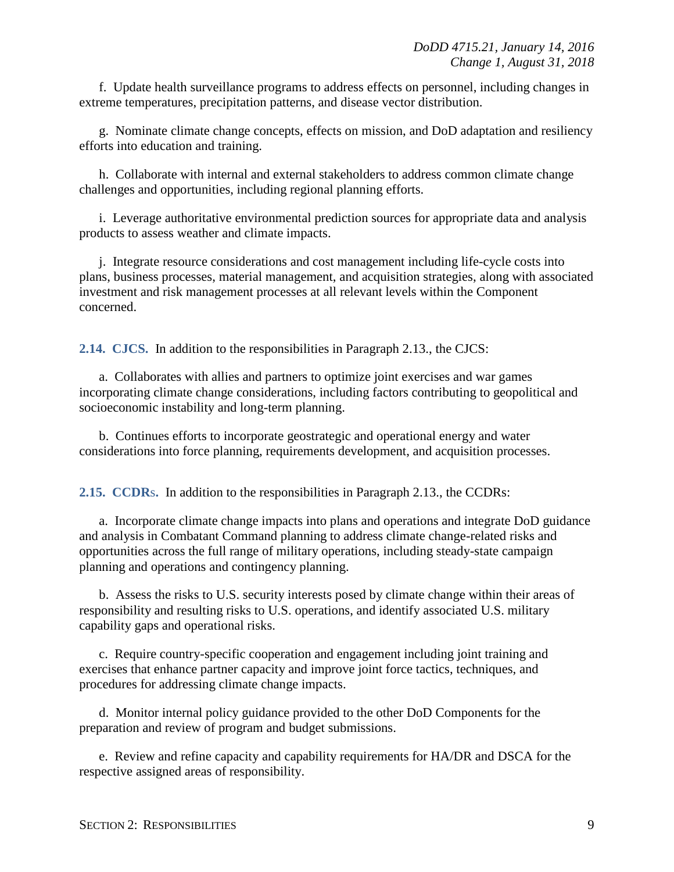f. Update health surveillance programs to address effects on personnel, including changes in extreme temperatures, precipitation patterns, and disease vector distribution.

g. Nominate climate change concepts, effects on mission, and DoD adaptation and resiliency efforts into education and training.

h. Collaborate with internal and external stakeholders to address common climate change challenges and opportunities, including regional planning efforts.

i. Leverage authoritative environmental prediction sources for appropriate data and analysis products to assess weather and climate impacts.

j. Integrate resource considerations and cost management including life-cycle costs into plans, business processes, material management, and acquisition strategies, along with associated investment and risk management processes at all relevant levels within the Component concerned.

**2.14. CJCS.** In addition to the responsibilities in Paragraph 2.13., the CJCS:

a. Collaborates with allies and partners to optimize joint exercises and war games incorporating climate change considerations, including factors contributing to geopolitical and socioeconomic instability and long-term planning.

b. Continues efforts to incorporate geostrategic and operational energy and water considerations into force planning, requirements development, and acquisition processes.

**2.15. CCDR**s**.** In addition to the responsibilities in Paragraph 2.13., the CCDRs:

a. Incorporate climate change impacts into plans and operations and integrate DoD guidance and analysis in Combatant Command planning to address climate change-related risks and opportunities across the full range of military operations, including steady-state campaign planning and operations and contingency planning.

b. Assess the risks to U.S. security interests posed by climate change within their areas of responsibility and resulting risks to U.S. operations, and identify associated U.S. military capability gaps and operational risks.

c. Require country-specific cooperation and engagement including joint training and exercises that enhance partner capacity and improve joint force tactics, techniques, and procedures for addressing climate change impacts.

d. Monitor internal policy guidance provided to the other DoD Components for the preparation and review of program and budget submissions.

e. Review and refine capacity and capability requirements for HA/DR and DSCA for the respective assigned areas of responsibility.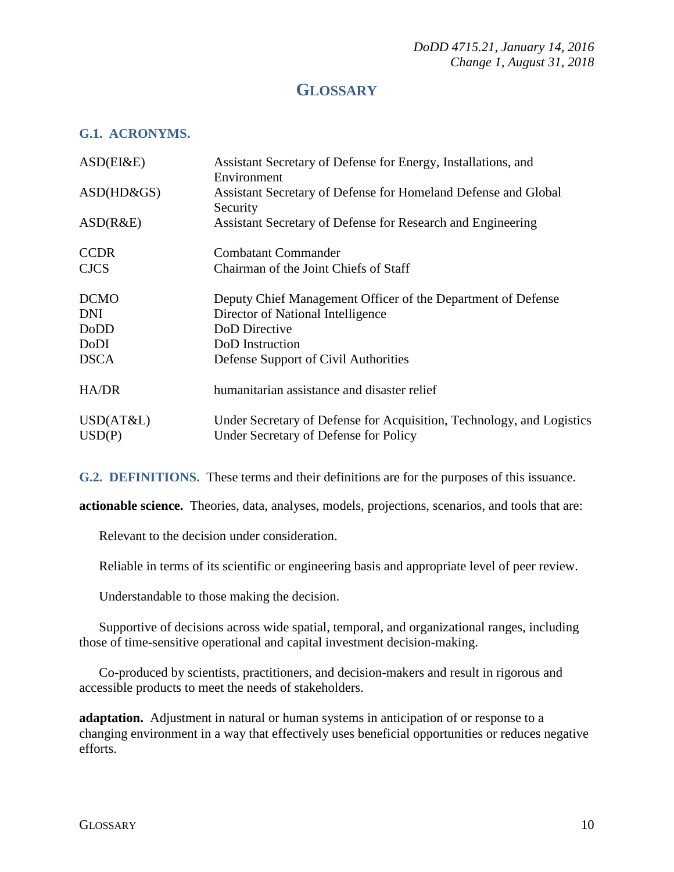## **GLOSSARY**

#### **G.1. ACRONYMS.**

| ASD(EI&E)           | Assistant Secretary of Defense for Energy, Installations, and<br>Environment                                   |
|---------------------|----------------------------------------------------------------------------------------------------------------|
| $ASD(HD\&GS)$       | Assistant Secretary of Defense for Homeland Defense and Global<br>Security                                     |
| ASD(R&E)            | Assistant Secretary of Defense for Research and Engineering                                                    |
| <b>CCDR</b>         | <b>Combatant Commander</b>                                                                                     |
| <b>CJCS</b>         | Chairman of the Joint Chiefs of Staff                                                                          |
| <b>DCMO</b>         | Deputy Chief Management Officer of the Department of Defense                                                   |
| <b>DNI</b>          | Director of National Intelligence                                                                              |
| DoDD                | DoD Directive                                                                                                  |
| DoDI                | DoD Instruction                                                                                                |
| <b>DSCA</b>         | Defense Support of Civil Authorities                                                                           |
| HA/DR               | humanitarian assistance and disaster relief                                                                    |
| USD(AT&L)<br>USD(P) | Under Secretary of Defense for Acquisition, Technology, and Logistics<br>Under Secretary of Defense for Policy |

**G.2. DEFINITIONS.** These terms and their definitions are for the purposes of this issuance.

**actionable science.** Theories, data, analyses, models, projections, scenarios, and tools that are:

Relevant to the decision under consideration.

Reliable in terms of its scientific or engineering basis and appropriate level of peer review.

Understandable to those making the decision.

Supportive of decisions across wide spatial, temporal, and organizational ranges, including those of time-sensitive operational and capital investment decision-making.

Co-produced by scientists, practitioners, and decision-makers and result in rigorous and accessible products to meet the needs of stakeholders.

**adaptation.** Adjustment in natural or human systems in anticipation of or response to a changing environment in a way that effectively uses beneficial opportunities or reduces negative efforts.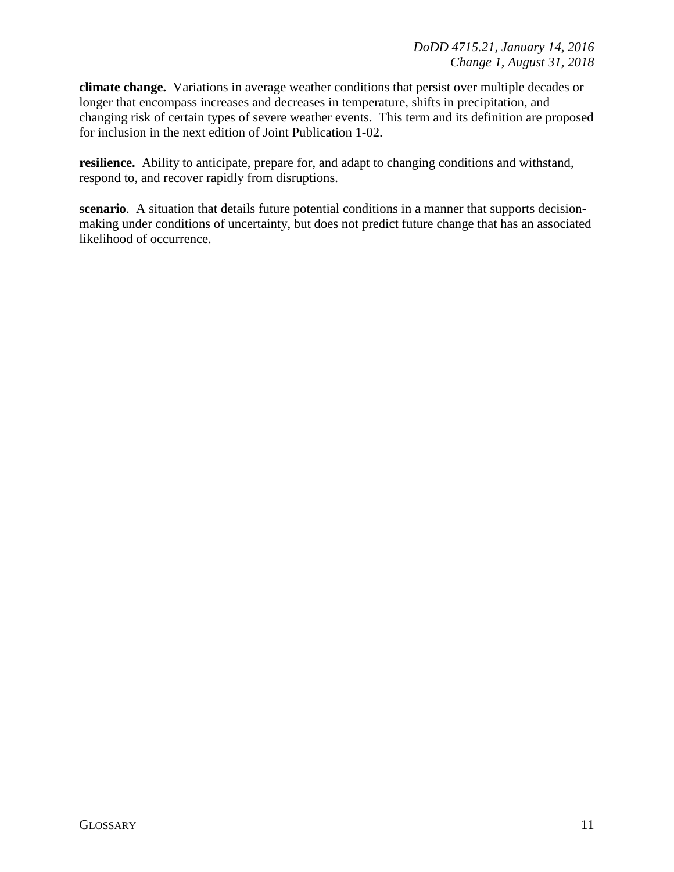**climate change.** Variations in average weather conditions that persist over multiple decades or longer that encompass increases and decreases in temperature, shifts in precipitation, and changing risk of certain types of severe weather events. This term and its definition are proposed for inclusion in the next edition of Joint Publication 1-02.

**resilience.** Ability to anticipate, prepare for, and adapt to changing conditions and withstand, respond to, and recover rapidly from disruptions.

**scenario**. A situation that details future potential conditions in a manner that supports decisionmaking under conditions of uncertainty, but does not predict future change that has an associated likelihood of occurrence.